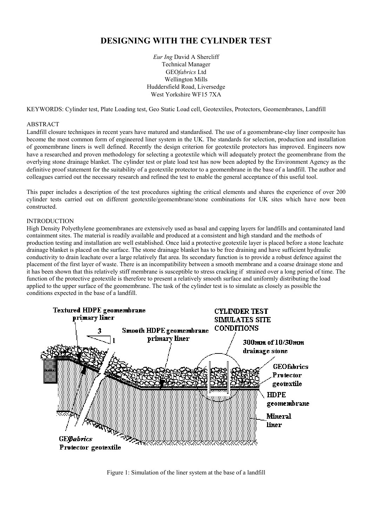# **DESIGNING WITH THE CYLINDER TEST**

*Eur Ing* David A Shercliff Technical Manager GEO*fabrics* Ltd Wellington Mills Huddersfield Road, Liversedge West Yorkshire WF15 7XA

KEYWORDS: Cylinder test, Plate Loading test, Geo Static Load cell, Geotextiles, Protectors, Geomembranes, Landfill

## ABSTRACT

Landfill closure techniques in recent years have matured and standardised. The use of a geomembrane-clay liner composite has become the most common form of engineered liner system in the UK. The standards for selection, production and installation of geomembrane liners is well defined. Recently the design criterion for geotextile protectors has improved. Engineers now have a researched and proven methodology for selecting a geotextile which will adequately protect the geomembrane from the overlying stone drainage blanket. The cylinder test or plate load test has now been adopted by the Environment Agency as the definitive proof statement for the suitability of a geotextile protector to a geomembrane in the base of a landfill. The author and colleagues carried out the necessary research and refined the test to enable the general acceptance of this useful tool.

This paper includes a description of the test procedures sighting the critical elements and shares the experience of over 200 cylinder tests carried out on different geotextile/geomembrane/stone combinations for UK sites which have now been constructed.

#### INTRODUCTION

High Density Polyethylene geomembranes are extensively used as basal and capping layers for landfills and contaminated land containment sites. The material is readily available and produced at a consistent and high standard and the methods of production testing and installation are well established. Once laid a protective geotextile layer is placed before a stone leachate drainage blanket is placed on the surface. The stone drainage blanket has to be free draining and have sufficient hydraulic conductivity to drain leachate over a large relatively flat area. Its secondary function is to provide a robust defence against the placement of the first layer of waste. There is an incompatibility between a smooth membrane and a coarse drainage stone and it has been shown that this relatively stiff membrane is susceptible to stress cracking if strained over a long period of time. The function of the protective geotextile is therefore to present a relatively smooth surface and uniformly distributing the load applied to the upper surface of the geomembrane. The task of the cylinder test is to simulate as closely as possible the conditions expected in the base of a landfill.



Figure 1: Simulation of the liner system at the base of a landfill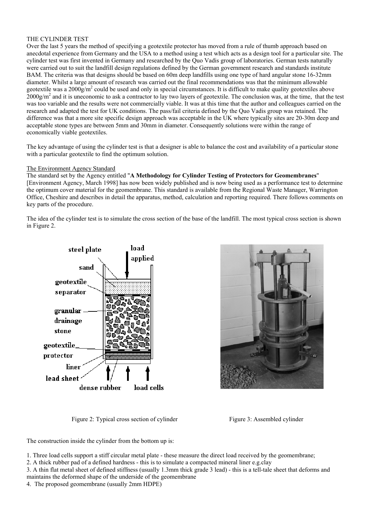# THE CYLINDER TEST

Over the last 5 years the method of specifying a geotextile protector has moved from a rule of thumb approach based on anecdotal experience from Germany and the USA to a method using a test which acts as a design tool for a particular site. The cylinder test was first invented in Germany and researched by the Quo Vadis group of laboratories. German tests naturally were carried out to suit the landfill design regulations defined by the German government research and standards institute BAM. The criteria was that designs should be based on 60m deep landfills using one type of hard angular stone 16-32mm diameter. Whilst a large amount of research was carried out the final recommendations was that the minimum allowable geotextile was a 2000 $\frac{g}{m^2}$  could be used and only in special circumstances. It is difficult to make quality geotextiles above  $2000$ g/m<sup>2</sup> and it is uneconomic to ask a contractor to lay two layers of geotextile. The conclusion was, at the time, that the test was too variable and the results were not commercially viable. It was at this time that the author and colleagues carried on the research and adapted the test for UK conditions. The pass/fail criteria defined by the Quo Vadis group was retained. The difference was that a more site specific design approach was acceptable in the UK where typically sites are 20-30m deep and acceptable stone types are between 5mm and 30mm in diameter. Consequently solutions were within the range of economically viable geotextiles.

The key advantage of using the cylinder test is that a designer is able to balance the cost and availability of a particular stone with a particular geotextile to find the optimum solution.

#### The Environment Agency Standard

The standard set by the Agency entitled "**A Methodology for Cylinder Testing of Protectors for Geomembranes**" [Environment Agency, March 1998] has now been widely published and is now being used as a performance test to determine the optimum cover material for the geomembrane. This standard is available from the Regional Waste Manager, Warrington Office, Cheshire and describes in detail the apparatus, method, calculation and reporting required. There follows comments on key parts of the procedure.

The idea of the cylinder test is to simulate the cross section of the base of the landfill. The most typical cross section is shown in Figure 2.



Figure 2: Typical cross section of cylinder Figure 3: Assembled cylinder



The construction inside the cylinder from the bottom up is:

- 1. Three load cells support a stiff circular metal plate these measure the direct load received by the geomembrane;
- 2. A thick rubber pad of a defined hardness this is to simulate a compacted mineral liner e.g.clay
- 3. A thin flat metal sheet of defined stiffness (usually 1.3mm thick grade 3 lead) this is a tell-tale sheet that deforms and maintains the deformed shape of the underside of the geomembrane
- 4. The proposed geomembrane (usually 2mm HDPE)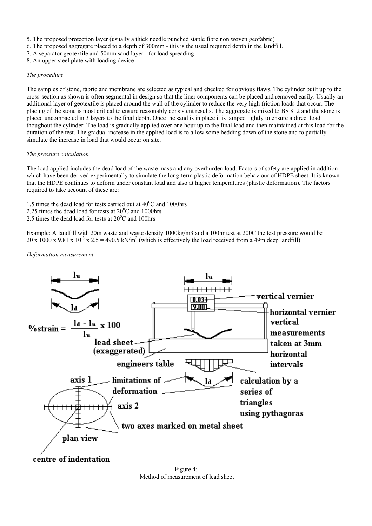- 5. The proposed protection layer (usually a thick needle punched staple fibre non woven geofabric)
- 6. The proposed aggregate placed to a depth of 300mm this is the usual required depth in the landfill.
- 7. A separator geotextile and 50mm sand layer for load spreading
- 8. An upper steel plate with loading device

# *The procedure*

The samples of stone, fabric and membrane are selected as typical and checked for obvious flaws. The cylinder built up to the cross-section as shown is often segmental in design so that the liner components can be placed and removed easily. Usually an additional layer of geotextile is placed around the wall of the cylinder to reduce the very high friction loads that occur. The placing of the stone is most critical to ensure reasonably consistent results. The aggregate is mixed to BS 812 and the stone is placed uncompacted in 3 layers to the final depth. Once the sand is in place it is tamped lightly to ensure a direct load thoughout the cylinder. The load is gradually applied over one hour up to the final load and then maintained at this load for the duration of the test. The gradual increase in the applied load is to allow some bedding down of the stone and to partially simulate the increase in load that would occur on site.

# *The pressure calculation*

The load applied includes the dead load of the waste mass and any overburden load. Factors of safety are applied in addition which have been derived experimentally to simulate the long-term plastic deformation behaviour of HDPE sheet. It is known that the HDPE continues to deform under constant load and also at higher temperatures (plastic deformation). The factors required to take account of these are:

- 1.5 times the dead load for tests carried out at  $40^{\circ}$ C and 1000hrs
- 2.25 times the dead load for tests at  $20^{\circ}$ C and 1000hrs
- 2.5 times the dead load for tests at  $20^{\circ}$ C and 100hrs

Example: A landfill with 20m waste and waste density 1000kg/m3 and a 100hr test at 200C the test pressure would be 20 x 1000 x 9.81 x 10<sup>-3</sup> x 2.5 = 490.5 kN/m<sup>2</sup> (which is effectively the load received from a 49m deep landfill)

#### *Deformation measurement*



centre of indentation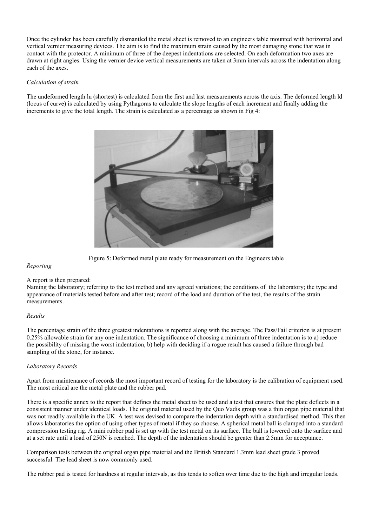Once the cylinder has been carefully dismantled the metal sheet is removed to an engineers table mounted with horizontal and vertical vernier measuring devices. The aim is to find the maximum strain caused by the most damaging stone that was in contact with the protector. A minimum of three of the deepest indentations are selected. On each deformation two axes are drawn at right angles. Using the vernier device vertical measurements are taken at 3mm intervals across the indentation along each of the axes.

#### *Calculation of strain*

The undeformed length lu (shortest) is calculated from the first and last measurements across the axis. The deformed length ld (locus of curve) is calculated by using Pythagoras to calculate the slope lengths of each increment and finally adding the increments to give the total length. The strain is calculated as a percentage as shown in Fig 4:



Figure 5: Deformed metal plate ready for measurement on the Engineers table

#### *Reporting*

#### A report is then prepared:

Naming the laboratory; referring to the test method and any agreed variations; the conditions of the laboratory; the type and appearance of materials tested before and after test; record of the load and duration of the test, the results of the strain measurements.

#### *Results*

The percentage strain of the three greatest indentations is reported along with the average. The Pass/Fail criterion is at present 0.25% allowable strain for any one indentation. The significance of choosing a minimum of three indentation is to a) reduce the possibility of missing the worst indentation, b) help with deciding if a rogue result has caused a failure through bad sampling of the stone, for instance.

#### *Laboratory Records*

Apart from maintenance of records the most important record of testing for the laboratory is the calibration of equipment used. The most critical are the metal plate and the rubber pad.

There is a specific annex to the report that defines the metal sheet to be used and a test that ensures that the plate deflects in a consistent manner under identical loads. The original material used by the Quo Vadis group was a thin organ pipe material that was not readily available in the UK. A test was devised to compare the indentation depth with a standardised method. This then allows laboratories the option of using other types of metal if they so choose. A spherical metal ball is clamped into a standard compression testing rig. A mini rubber pad is set up with the test metal on its surface. The ball is lowered onto the surface and at a set rate until a load of 250N is reached. The depth of the indentation should be greater than 2.5mm for acceptance.

Comparison tests between the original organ pipe material and the British Standard 1.3mm lead sheet grade 3 proved successful. The lead sheet is now commonly used.

The rubber pad is tested for hardness at regular intervals, as this tends to soften over time due to the high and irregular loads.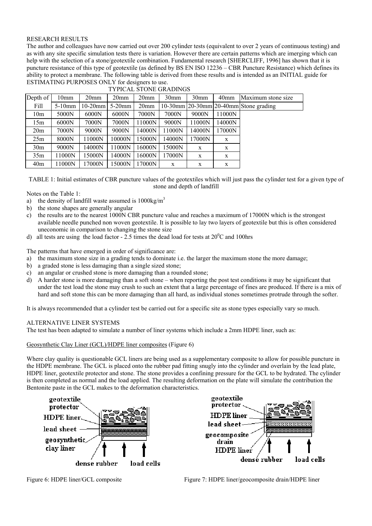#### RESEARCH RESULTS

The author and colleagues have now carried out over 200 cylinder tests (equivalent to over 2 years of continuous testing) and as with any site specific simulation tests there is variation. However there are certain patterns which are imerging which can help with the selection of a stone/geotextile combination. Fundamental research [SHERCLIFF, 1996] has shown that it is puncture resistance of this type of geotextile (as defined by BS EN ISO 12236 – CBR Puncture Resistance) which defines its ability to protect a membrane. The following table is derived from these results and is intended as an INITIAL guide for ESTIMATING PURPOSES ONLY for designers to use.

| Depth of        | 10 <sub>mm</sub> | 20 <sub>mm</sub> | 20 <sub>mm</sub> | 20 <sub>mm</sub> | 30 <sub>mm</sub> | 30 <sub>mm</sub> | 40 <sub>mm</sub> | Maximum stone size                             |
|-----------------|------------------|------------------|------------------|------------------|------------------|------------------|------------------|------------------------------------------------|
| Fill            | $5-10$ mm        | $10-20$ mm       | $5-20$ mm        | 20 <sub>mm</sub> |                  |                  |                  | $10-30$ mm $20-30$ mm $20-40$ mm Stone grading |
| 10 <sub>m</sub> | 5000N            | 6000N            | 6000N            | 7000N            | 7000N            | 9000N            | 11000N           |                                                |
| 15m             | 6000N            | 7000N            | 7000N            | 11000N           | 9000N            | 11000N           | 14000N           |                                                |
| 20 <sub>m</sub> | 7000N            | 9000N            | 9000N            | 14000N           | 11000N           | 14000N           | 17000N           |                                                |
| 25m             | 8000N            | 11000N           | 10000N           | 15000N           | 14000N           | 17000N           | X                |                                                |
| 30 <sub>m</sub> | 9000N            | 14000N           | 1000N            | 16000N           | 15000N           | X                | X                |                                                |
| 35m             | 11000N           | 15000N           | 14000N           | 16000N           | 17000N           | X                | X                |                                                |
| 40 <sub>m</sub> | 11000N           | 17000N           | 15000N           | 17000N           | X                | X                | X                |                                                |
|                 |                  |                  |                  |                  |                  |                  |                  |                                                |



TABLE 1: Initial estimates of CBR puncture values of the geotextiles which will just pass the cylinder test for a given type of stone and depth of landfill

Notes on the Table 1:

- a) the density of landfill waste assumed is  $1000\text{kg/m}^3$
- b) the stone shapes are generally angular
- c) the results are to the nearest 1000N CBR puncture value and reaches a maximum of 17000N which is the strongest available needle punched non woven geotextile. It is possible to lay two layers of geotextile but this is often considered uneconomic in comparison to changing the stone size
- d) all tests are using the load factor 2.5 times the dead load for tests at  $20^{\circ}$ C and 100hrs

The patterns that have emerged in order of significance are:

- a) the maximum stone size in a grading tends to dominate i.e. the larger the maximum stone the more damage;
- b) a graded stone is less damaging than a single sized stone;
- c) an angular or crushed stone is more damaging than a rounded stone;
- d) A harder stone is more damaging than a soft stone when reporting the post test conditions it may be significant that under the test load the stone may crush to such an extent that a large percentage of fines are produced. If there is a mix of hard and soft stone this can be more damaging than all hard, as individual stones sometimes protrude through the softer.

It is always recommended that a cylinder test be carried out for a specific site as stone types especially vary so much.

#### ALTERNATIVE LINER SYSTEMS

The test has been adapted to simulate a number of liner systems which include a 2mm HDPE liner, such as:

Geosynthetic Clay Liner (GCL)/HDPE liner composites (Figure 6)

Where clay quality is questionable GCL liners are being used as a supplementary composite to allow for possible puncture in the HDPE membrane. The GCL is placed onto the rubber pad fitting snugly into the cylinder and overlain by the lead plate, HDPE liner, geotextile protector and stone. The stone provides a confining pressure for the GCL to be hydrated. The cylinder is then completed as normal and the load applied. The resulting deformation on the plate will simulate the contribution the Bentonite paste in the GCL makes to the deformation characteristics.





Figure 6: HDPE liner/GCL composite Figure 7: HDPE liner/geocomposite drain/HDPE liner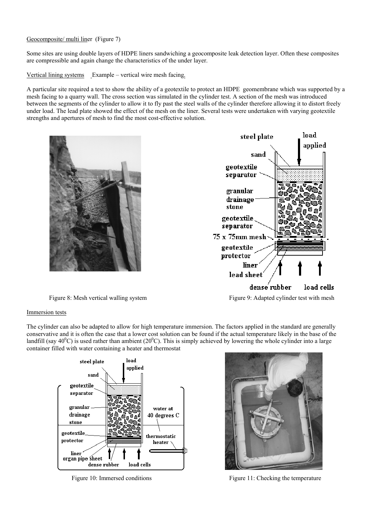## Geocomposite/ multi liner (Figure 7)

Some sites are using double layers of HDPE liners sandwiching a geocomposite leak detection layer. Often these composites are compressible and again change the characteristics of the under layer.

Vertical lining systems Example – vertical wire mesh facing.

A particular site required a test to show the ability of a geotextile to protect an HDPE geomembrane which was supported by a mesh facing to a quarry wall. The cross section was simulated in the cylinder test. A section of the mesh was introduced between the segments of the cylinder to allow it to fly past the steel walls of the cylinder therefore allowing it to distort freely under load. The lead plate showed the effect of the mesh on the liner. Several tests were undertaken with varying geotextile strengths and apertures of mesh to find the most cost-effective solution.





Figure 8: Mesh vertical walling system Figure 9: Adapted cylinder test with mesh

#### Immersion tests

The cylinder can also be adapted to allow for high temperature immersion. The factors applied in the standard are generally conservative and it is often the case that a lower cost solution can be found if the actual temperature likely in the base of the landfill (say 40<sup>0</sup>C) is used rather than ambient (20<sup>0</sup>C). This is simply achieved by lowering the whole cylinder into a large container filled with water containing a heater and thermostat





Figure 10: Immersed conditions Figure 11: Checking the temperature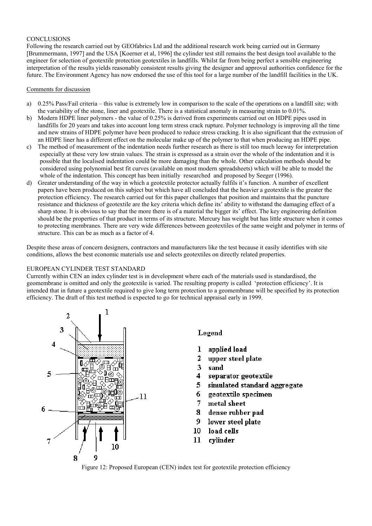## **CONCLUSIONS**

Following the research carried out by GEOfabrics Ltd and the additional research work being carried out in Germany [Brummermann, 1997] and the USA [Koerner et al, 1996] the cylinder test still remains the best design tool available to the engineer for selection of geotextile protection geotextiles in landfills. Whilst far from being perfect a sensible engineering interpretation of the results yields reasonably consistent results giving the designer and approval authorities confidence for the future. The Environment Agency has now endorsed the use of this tool for a large number of the landfill facilities in the UK.

#### Comments for discussion

- a) 0.25% Pass/Fail criteria this value is extremely low in comparison to the scale of the operations on a landfill site; with the variability of the stone, liner and geotextile. There is a statistical anomaly in measuring strain to 0.01%.
- b) Modern HDPE liner polymers the value of 0.25% is derived from experiments carried out on HDPE pipes used in landfills for 20 years and takes into account long term stress crack rupture. Polymer technology is improving all the time and new strains of HDPE polymer have been produced to reduce stress cracking. It is also significant that the extrusion of an HDPE liner has a different effect on the molecular make up of the polymer to that when producing an HDPE pipe.
- c) The method of measurement of the indentation needs further research as there is still too much leeway for interpretation especially at these very low strain values. The strain is expressed as a strain over the whole of the indentation and it is possible that the localised indentation could be more damaging than the whole. Other calculation methods should be considered using polynomial best fit curves (available on most modern spreadsheets) which will be able to model the whole of the indentation. This concept has been initially researched and proposed by Seeger (1996).
- d) Greater understanding of the way in which a geotextile protector actually fulfils it's function. A number of excellent papers have been produced on this subject but which have all concluded that the heavier a geotextile is the greater the protection efficiency. The research carried out for this paper challenges that position and maintains that the puncture resistance and thickness of geotextile are the key criteria which define its' ability to withstand the damaging effect of a sharp stone. It is obvious to say that the more there is of a material the bigger its' effect. The key engineering definition should be the properties of that product in terms of its structure. Mercury has weight but has little structure when it comes to protecting membranes. There are very wide differences between geotextiles of the same weight and polymer in terms of structure. This can be as much as a factor of 4.

Despite these areas of concern designers, contractors and manufacturers like the test because it easily identifies with site conditions, allows the best economic materials use and selects geotextiles on directly related properties.

#### EUROPEAN CYLINDER TEST STANDARD

Currently within CEN an index cylinder test is in development where each of the materials used is standardised, the geomembrane is omitted and only the geotextile is varied. The resulting property is called 'protection efficiency'. It is intended that in future a geotextile required to give long term protection to a geomembrane will be specified by its protection efficiency. The draft of this test method is expected to go for technical appraisal early in 1999.



# Legend

- $\bf{l}$ applied load
- $\overline{2}$ upper steel plate
- 3 sand
- $\blacktriangleleft$ separator geotextile
- 5 simulated standard aggregate
- 6 geotextile specimen
- $\overline{7}$ metal sheet
- 8 dense rubber pad
- 9 lower steel plate
- $10^{\circ}$ load cells
- 11 cylinder

Figure 12: Proposed European (CEN) index test for geotextile protection efficiency